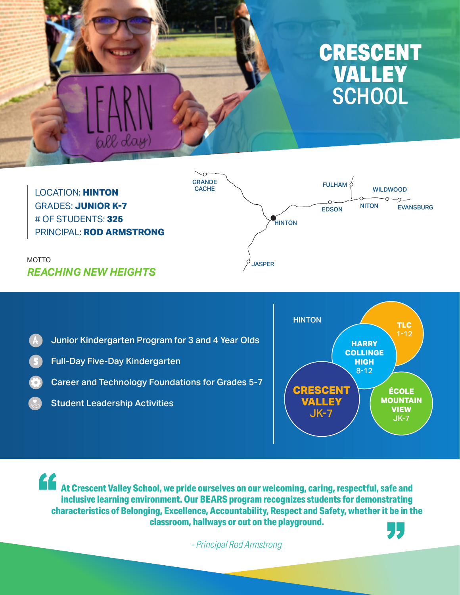

LOCATION: **HINTON** GRADES: **JUNIOR K-7** # OF STUDENTS: **325** PRINCIPAL: **ROD ARMSTRONG**

all da



MOTTO *REACHING NEW HEIGHTS*

Junior Kindergarten Program for 3 and 4 Year Olds  $\overline{A}$ 

- Full-Day Five-Day Kindergarten
- Career and Technology Foundations for Grades 5-7
	- Student Leadership Activities



**At Crescent Valley School, we pride ourselves on our welcoming, caring, respectful, safe and and pride pride to a pride of the pride of the pride of the pride of the pride of the pride of the pride of the pride of the pri inclusive learning environment. Our BEARS program recognizes students for demonstrating characteristics of Belonging, Excellence, Accountability, Respect and Safety, whether it be in the classroom, hallways or out on the playground.**

*- Principal Rod Armstrong*